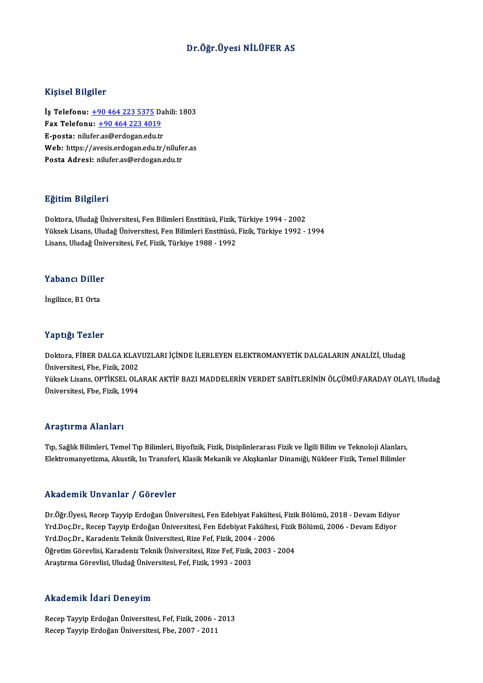### Dr.Öğr.Üyesi NİLÜFER AS

### Kişisel Bilgiler

İş Telefonu: +90 464 223 5375 Dahili: 1803 11.9.001 21.9.101<br>İş Telefonu: <u>+90 464 223 5375</u> Da<br>Fax Telefonu: <u>+90 464 223 4019</u><br>Fansta: niluforas@ordogan.odu.tr İş Telefonu: <u>+90 464 223 5375</u> Da<br>Fax Telefonu: <u>+90 464 223 4019</u><br>E-posta: nilu[fer](tel:+90 464 223 5375)[.as@erdogan.edu.tr](tel:+90 464 223 4019)<br>Web: https://avesis.ordogan.edu.tr E-posta: nilufer.as@erdogan.edu.tr<br>Web: https://avesis.erdogan.edu.tr/nilufer.as Posta Adresi: nilufer.as@erdogan.edu.tr

### Eğitim Bilgileri

Doktora, Uludağ Üniversitesi, Fen Bilimleri Enstitüsü, Fizik, Türkiye 1994 - 2002 23. saman 2. septesi<br>Doktora, Uludağ Üniversitesi, Fen Bilimleri Enstitüsü, Fizik, Türkiye 1994 - 2002<br>Yüksek Lisans, Uludağ Üniversitesi, Fen Bilimleri Enstitüsü, Fizik, Türkiye 1992 - 1994<br>Lisans, Uludağ Üniversitesi, Fe Doktora, Uludağ Üniversitesi, Fen Bilimleri Enstitüsü, Fizik,<br>Yüksek Lisans, Uludağ Üniversitesi, Fen Bilimleri Enstitüsü,<br>Lisans, Uludağ Üniversitesi, Fef, Fizik, Türkiye 1988 - 1992 Lisans, Uludağ Üniversitesi, Fef, Fizik, Türkiye 1988 - 1992<br>Yabancı Diller

İngilizce, B1 Orta

### Yaptığı Tezler

Doktora, FİBER DALGA KLAVUZLARI İÇİNDE İLERLEYEN ELEKTROMANYETİK DALGALARIN ANALİZİ, Uludağ Üniversitesi, Fbe, Fizik, 2002 Doktora, FİBER DALGA KLAVUZLARI İÇİNDE İLERLEYEN ELEKTROMANYETİK DALGALARIN ANALİZİ, Uludağ<br>Üniversitesi, Fbe, Fizik, 2002<br>Yüksek Lisans, OPTİKSEL OLARAK AKTİF BAZI MADDELERİN VERDET SABİTLERİNİN ÖLÇÜMÜ:FARADAY OLAYI, Ulud Üniversitesi, Fbe, Fizik, 2002<br>Yüksek Lisans, OPTİKSEL OL*l*<br>Üniversitesi, Fbe, Fizik, 1994 Üniversitesi, Fbe, Fizik, 1994<br>Araştırma Alanları

Araştırma Alanları<br>Tıp, Sağlık Bilimleri, Temel Tıp Bilimleri, Biyofizik, Fizik, Disiplinlerarası Fizik ve İlgili Bilim ve Teknoloji Alanları,<br>Flaktromanyatizma, Alaystik Jou Transfori, Klasik Mokanik ve Alaskanlar Dinamič Elektroma Tridinani<br>Tıp, Sağlık Bilimleri, Temel Tıp Bilimleri, Biyofizik, Fizik, Disiplinlerarası Fizik ve İlgili Bilim ve Teknoloji Alanları,<br>Elektromanyetizma, Akustik, Isı Transferi, Klasik Mekanik ve Akışkanlar Dinami Elektromanyetizma, Akustik, Isı Transferi, Klasik Mekanik ve Akışkanlar Dinamiği, Nükleer Fizik, Temel Bilimler<br>Akademik Unvanlar / Görevler

Dr.Öğr.Üyesi, Recep Tayyip Erdoğan Üniversitesi, Fen Edebiyat Fakültesi, Fizik Bölümü, 2018 - Devam Ediyor Yrkuu offint. Sin uffindi "/" d'or ov for<br>Dr.Öğr.Üyesi, Recep Tayyip Erdoğan Üniversitesi, Fen Edebiyat Fakültesi, Fizik Bölümü, 2018 - Devam Ediyor<br>Yrd.Doç.Dr., Recep Tayyip Erdoğan Üniversitesi, Fen Edebiyat Fakültesi, F Dr.Öğr.Üyesi, Recep Tayyip Erdoğan Üniversitesi, Fen Edebiyat Fakültes<br>Yrd.Doç.Dr., Recep Tayyip Erdoğan Üniversitesi, Fen Edebiyat Fakültesi<br>Yrd.Doç.Dr., Karadeniz Teknik Üniversitesi, Rize Fef, Fizik, 2004 - 2006<br>Öğretim Yrd.Doç.Dr., Recep Tayyip Erdoğan Üniversitesi, Fen Edebiyat Fakültesi, Fizik<br>Yrd.Doç.Dr., Karadeniz Teknik Üniversitesi, Rize Fef, Fizik, 2004 - 2006<br>Öğretim Görevlisi, Karadeniz Teknik Üniversitesi, Rize Fef, Fizik, 2003 Yrd.Doç.Dr., Karadeniz Teknik Üniversitesi, Rize Fef, Fizik, 2004 - 2006<br>Öğretim Görevlisi, Karadeniz Teknik Üniversitesi, Rize Fef, Fizik, 2003 - 2004<br>Araştırma Görevlisi, Uludağ Üniversitesi, Fef, Fizik, 1993 - 2003

### Akademik İdari Deneyim

RecepTayyipErdoğanÜniversitesi,Fef,Fizik,2006 -2013 Recep Tayyip Erdoğan Üniversitesi, Fbe, 2007 - 2011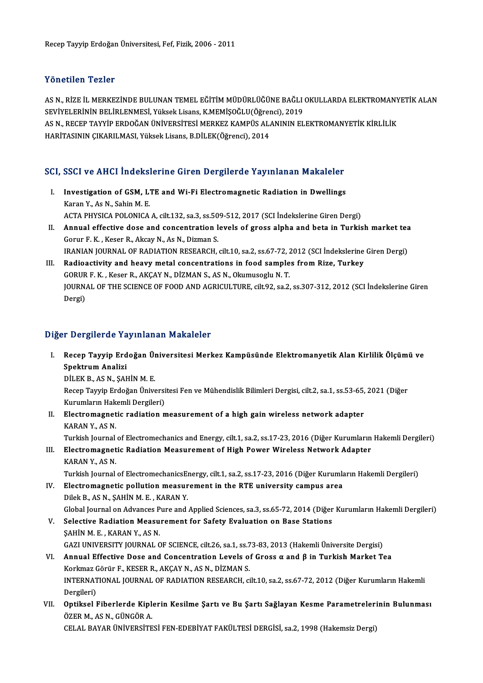### Yönetilen Tezler

Yönetilen Tezler<br>AS N., RİZE İL MERKEZİNDE BULUNAN TEMEL EĞİTİM MÜDÜRLÜĞÜNE BAĞLI OKULLARDA ELEKTROMANYETİK ALAN<br>SEVİYELERİNİN PELİRLENMESİ, Yükok Lisans, K.MEMİSQĞLU(Öğransı), 2019 1 SASERISA' 1 SASI<br>AS N., RİZE İL MERKEZİNDE BULUNAN TEMEL EĞİTİM MÜDÜRLÜĞÜNE BAĞLI<br>SEVİYELERİNİN BELİRLENMESİ, Yüksek Lisans, K.MEMİŞOĞLU(Öğrenci), 2019<br>AS N. BECER TAYVİR ERDOĞAN ÜNİVERSİTESİ MERKEZ KAMPÜS ALANININ EL AS N., RİZE İL MERKEZİNDE BULUNAN TEMEL EĞİTİM MÜDÜRLÜĞÜNE BAĞLI OKULLARDA ELEKTROMANY<br>SEVİYELERİNİN BELİRLENMESİ, Yüksek Lisans, K.MEMİŞOĞLU(Öğrenci), 2019<br>AS N., RECEP TAYYİP ERDOĞAN ÜNİVERSİTESİ MERKEZ KAMPÜS ALANININ E SEVİYELERİNİN BELİRLENMESİ, Yüksek Lisans, K.MEMİŞOĞLU(Öğrer<br>AS N., RECEP TAYYİP ERDOĞAN ÜNİVERSİTESİ MERKEZ KAMPÜS AL*ı*<br>HARİTASININ ÇIKARILMASI, Yüksek Lisans, B.DİLEK(Öğrenci), 2014

# HARİTASININ ÇIKARILMASI, Yüksek Lisans, B.DİLEK(Öğrenci), 2014<br>SCI, SSCI ve AHCI İndekslerine Giren Dergilerde Yayınlanan Makaleler

- CI, SSCI ve AHCI Indekslerine Giren Dergilerde Yayınlanan Makaleler<br>I. Investigation of GSM, LTE and Wi-Fi Electromagnetic Radiation in Dwellings<br>Karan V. As N. Sabin M. E MOSCO VOICH CONSIDERED.<br>The Stigation of GSM, L.<br>Karan Y., As N., Sahin M. E.<br>ACTA PHYSICA POLONICA Investigation of GSM, LTE and Wi-Fi Electromagnetic Radiation in Dwellings<br>Karan Y., As N., Sahin M. E.<br>ACTA PHYSICA POLONICA A, cilt.132, sa.3, ss.509-512, 2017 (SCI İndekslerine Giren Dergi)<br>Annual effective doce and sen ACTA PHYSICA POLONICA A, cilt.132, sa.3, ss.509-512, 2017 (SCI Indekslerine Giren Dergi)
- Karan Y., As N., Sahin M. E.<br>ACTA PHYSICA POLONICA A, cilt.132, sa.3, ss.509-512, 2017 (SCI Indekslerine Giren Dergi)<br>II. Annual effective dose and concentration levels of gross alpha and beta in Turkish market tea<br>Gorur F Annual effective dose and concentration levels of gross alpha and beta in Turkish market teationur F. K., Keser R., Akcay N., As N., Dizman S.<br>IRANIAN JOURNAL OF RADIATION RESEARCH, cilt.10, sa.2, ss.67-72, 2012 (SCI İndek Gorur F. K., Keser R., Akcay N., As N., Dizman S.<br>IRANIAN JOURNAL OF RADIATION RESEARCH, cilt.10, sa.2, ss.67-72, 2012 (SCI Indekslerine<br>III. Radioactivity and heavy metal concentrations in food samples from Rize, Turkey<br>C
- IRANIAN JOURNAL OF RADIATION RESEARCH, cilt.10, sa.2, ss.67-72, 2<br>Radioactivity and heavy metal concentrations in food sample<br>GORUR F. K. , Keser R., AKÇAY N., DİZMAN S., AS N., Okumusoglu N. T.<br>JOUPMAL OF THE SCIENCE OF F Radioactivity and heavy metal concentrations in food samples from Rize, Turkey<br>GORUR F. K. , Keser R., AKÇAY N., DİZMAN S., AS N., Okumusoglu N. T.<br>JOURNAL OF THE SCIENCE OF FOOD AND AGRICULTURE, cilt.92, sa.2, ss.307-312, GORUR<br>JOURN.<br>Dergi)

# Dergi)<br>Diğer Dergilerde Yayınlanan Makaleler

iğer Dergilerde Yayınlanan Makaleler<br>I. Recep Tayyip Erdoğan Üniversitesi Merkez Kampüsünde Elektromanyetik Alan Kirlilik Ölçümü ve<br>SPektrum Aneliri n Bergherde ru<br>Recep Tayyip Erd<br>Spektrum Analizi<br>Dit Ek B ASN SAL Spektrum Analizi<br>DİLEK B., AS N., ŞAHİN M. E.

Spektrum Analizi<br>DİLEK B., AS N., ŞAHİN M. E.<br>Recep Tayyip Erdoğan Üniversitesi Fen ve Mühendislik Bilimleri Dergisi, cilt.2, sa.1, ss.53-65, 2021 (Diğer<br>Kunumların Halsemli Dergileri) DİLEK B., AS N., ŞAHİN M. E.<br>Recep Tayyip Erdoğan Üniversi<br>Kurumların Hakemli Dergileri)<br>Elestromosnatis radiation r Kurumların Hakemli Dergileri)

II. Electromagnetic radiation measurement of a high gain wireless network adapter KARAN Y., AS N. Electromagnetic radiation measurement of a high gain wireless network adapter<br>KARAN Y., AS N.<br>Turkish Journal of Electromechanics and Energy, cilt.1, sa.2, ss.17-23, 2016 (Diğer Kurumların Hakemli Dergileri)<br>Electromagneti

KARAN Y., AS N.<br>Turkish Journal of Electromechanics and Energy, cilt.1, sa.2, ss.17-23, 2016 (Diğer Kurumların<br>III. Electromagnetic Radiation Measurement of High Power Wireless Network Adapter<br>KARAN V. AS N Turkish Journal<br><mark>Electromagnet</mark><br>KARAN Y., AS N.<br>Turkish Journal Electromagnetic Radiation Measurement of High Power Wireless Network Adapter<br>KARAN Y., AS N.<br>Turkish Journal of ElectromechanicsEnergy, cilt.1, sa.2, ss.17-23, 2016 (Diğer Kurumların Hakemli Dergileri)<br>Flectromagnetis poll

- KARAN Y., AS N.<br>Turkish Journal of ElectromechanicsEnergy, cilt.1, sa.2, ss.17-23, 2016 (Diğer Kurumla<br>IV. Electromagnetic pollution measurement in the RTE university campus area<br>Dilek B., AS N., SAHİN M. E., KARAN Y. Turkish Journal of Electromechanics<br>Electromagnetic pollution measur<br>Dilek B., AS N., ŞAHİN M. E. , KARAN Y.<br>Clabel Journal on Advances Bure and Electromagnetic pollution measurement in the RTE university campus area<br>Dilek B., AS N., ŞAHİN M. E. , KARAN Y.<br>Global Journal on Advances Pure and Applied Sciences, sa.3, ss.65-72, 2014 (Diğer Kurumların Hakemli Dergileri Dilek B., AS N., ŞAHİN M. E. , KARAN Y.<br>Global Journal on Advances Pure and Applied Sciences, sa.3, ss.65-72, 2014 (Diğer<br>V. Selective Radiation Measurement for Safety Evaluation on Base Stations<br>SAHİN M. E. KARAN V. AS N.
- Global Journal on Advances P<br>Selective Radiation Measu<br>ŞAHİN M. E. , KARAN Y., AS N.<br>CAZI UNIVERSITY JOURNAL C Selective Radiation Measurement for Safety Evaluation on Base Stations<br>SAHİN M. E. , KARAN Y., AS N.<br>GAZI UNIVERSITY JOURNAL OF SCIENCE, cilt.26, sa.1, ss.73-83, 2013 (Hakemli Üniversite Dergisi)<br>Annual Effective Dees and SAHİN M. E. , KARAN Y., AS N.<br>GAZI UNIVERSITY JOURNAL OF SCIENCE, cilt.26, sa.1, ss.73-83, 2013 (Hakemli Üniversite Dergisi)<br>VI. Annual Effective Dose and Concentration Levels of Gross α and β in Turkish Market Tea<br>Kerlme
- GAZI UNIVERSITY JOURNAL OF SCIENCE, cilt.26, sa.1, ss.7<br>Annual Effective Dose and Concentration Levels of<br>Korkmaz Görür F., KESER R., AKÇAY N., AS N., DİZMAN S.<br>INTERNATIONAL JOURNAL OF RADIATION RESEARCH. 3 Annual Effective Dose and Concentration Levels of Gross α and β in Turkish Market Tea<br>Korkmaz Görür F., KESER R., AKÇAY N., AS N., DİZMAN S.<br>INTERNATIONAL JOURNAL OF RADIATION RESEARCH, cilt.10, sa.2, ss.67-72, 2012 (Diğe Korkmaz<br>INTERNAT<br>Dergileri)<br>Ontikeal l INTERNATIONAL JOURNAL OF RADIATION RESEARCH, cilt.10, sa.2, ss.67-72, 2012 (Diğer Kurumların Hakemli<br>Dergileri)<br>VII. Optiksel Fiberlerde Kiplerin Kesilme Şartı ve Bu Şartı Sağlayan Kesme Parametrelerinin Bulunması<br>ÖZER
- Dergileri)<br><mark>Optiksel Fiberlerde Kipl</mark><br>ÖZER M., AS N., GÜNGÖR A.<br>CELAL PAVAP ÜNİVEPSİTE Optiksel Fiberlerde Kiplerin Kesilme Şartı ve Bu Şartı Sağlayan Kesme Parametreleri<br>ÖZER M., AS N., GÜNGÖR A.<br>CELAL BAYAR ÜNİVERSİTESİ FEN-EDEBİYAT FAKÜLTESİ DERGİSİ, sa.2, 1998 (Hakemsiz Dergi)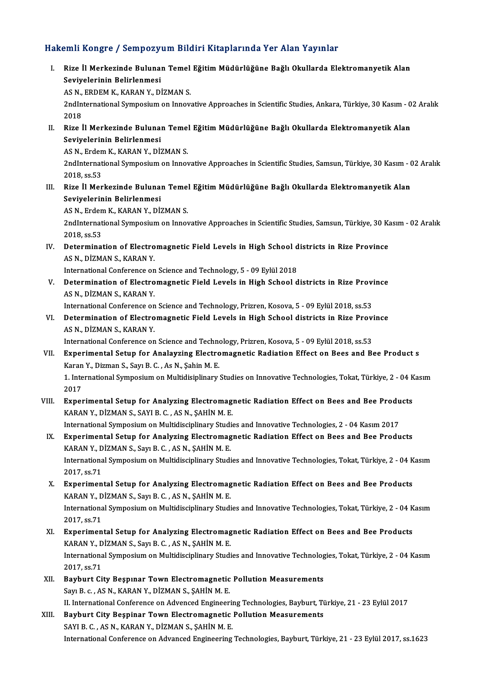### Hakemli Kongre / Sempozyum Bildiri Kitaplarında Yer Alan Yayınlar

akemli Kongre / Sempozyum Bildiri Kitaplarında Yer Alan Yayınlar<br>I. Rize İl Merkezinde Bulunan Temel Eğitim Müdürlüğüne Bağlı Okullarda Elektromanyetik Alan<br>Sevivelerinin Belirlenmesi Sini Rongre / Sempozy<br>Rize İl Merkezinde Bulunai<br>Seviyelerinin Belirlenmesi<br>AS N. ERDEM K. KARAN V. Dİ Rize İl Merkezinde Bulunan Temel<br>Seviyelerinin Belirlenmesi<br>AS N., ERDEM K., KARAN Y., DİZMAN S.<br>2ndInternetienel Sumnesium en Innev

Seviyelerinin Belirlenmesi<br>AS N., ERDEM K., KARAN Y., DİZMAN S.<br>2ndInternational Symposium on Innovative Approaches in Scientific Studies, Ankara, Türkiye, 30 Kasım - 02 Aralık<br>2018 AS N.,<br>2ndIn<br>2018<br>Pize i 2ndInternational Symposium on Innovative Approaches in Scientific Studies, Ankara, Türkiye, 30 Kasım - 0<br>2018<br>II. Rize İl Merkezinde Bulunan Temel Eğitim Müdürlüğüne Bağlı Okullarda Elektromanyetik Alan<br>Soviyelerinin Belir

2018<br>Rize İl Merkezinde Buluna<br>Seviyelerinin Belirlenmesi<br>ASN Erdem K. KARAN V. Dİ. Rize İl Merkezinde Bulunan Temel<br>Seviyelerinin Belirlenmesi<br>AS N., Erdem K., KARAN Y., DİZMAN S.<br>2ndInternational Sumnesium en Innes

Seviyelerinin Belirlenmesi<br>AS N., Erdem K., KARAN Y., DİZMAN S.<br>2ndInternational Symposium on Innovative Approaches in Scientific Studies, Samsun, Türkiye, 30 Kasım - 02 Aralık AS N., Erden<br>2ndInternat<br>2018, ss.53<br>Pize <sup>il Mor</sup> 2ndInternational Symposium on Innovative Approaches in Scientific Studies, Samsun, Türkiye, 30 Kasım - (<br>2018, ss.53<br>III. Rize İl Merkezinde Bulunan Temel Eğitim Müdürlüğüne Bağlı Okullarda Elektromanyetik Alan<br>Soviyaları'

2018, ss.53<br>Rize İl Merkezinde Buluna<br>Seviyelerinin Belirlenmesi<br>AS N. Frdem K. KARAN V. Dİ: Rize İl Merkezinde Bulunan Temel<br>Seviyelerinin Belirlenmesi<br>AS N., Erdem K., KARAN Y., DİZMAN S.<br>2ndInternational Sumnesium on Innet

AS N., Erdem K., KARAN Y., DİZMAN S.

Seviyelerinin Belirlenmesi<br>AS N., Erdem K., KARAN Y., DİZMAN S.<br>2ndInternational Symposium on Innovative Approaches in Scientific Studies, Samsun, Türkiye, 30 Kasım - 02 Aralık<br>2018, ss.53 2ndInternational Symposium on Innovative Approaches in Scientific Studies, Samsun, Türkiye, 30 K<br>2018, ss.53<br>IV. Determination of Electromagnetic Field Levels in High School districts in Rize Province<br>AS N. DIZMAN S. KARAN

2018, ss.53<br>Determination of Electro<br>AS N., DİZMAN S., KARAN Y.<br>International Conference en Determination of Electromagnetic Field Levels in High School d<br>AS N., DİZMAN S., KARAN Y.<br>International Conference on Science and Technology, 5 - 09 Eylül 2018<br>Determination of Electromagnetic Eield Levels in High School d

International Conference on Science and Technology, 5 - 09 Eylül 2018

AS N., DİZMAN S., KARAN Y.<br>International Conference on Science and Technology, 5 - 09 Eylül 2018<br>V. Determination of Electromagnetic Field Levels in High School districts in Rize Province<br>AS N., DİZMAN S., KARAN Y. Determination of Electromagnetic Field Levels in High School districts in Rize Provi<br>AS N., DİZMAN S., KARAN Y.<br>International Conference on Science and Technology, Prizren, Kosova, 5 - 09 Eylül 2018, ss.53<br>Determination of

VI. Determination of Electromagnetic Field Levels in High School districts in Rize Province International Conference on<br>Determination of Electro<br>AS N., DİZMAN S., KARAN Y.<br>International Conference on Determination of Electromagnetic Field Levels in High School districts in Rize Provi<br>AS N., DİZMAN S., KARAN Y.<br>International Conference on Science and Technology, Prizren, Kosova, 5 - 09 Eylül 2018, ss.53<br>Eunonimental Set

- VII. Experimental Setup for Analayzing Electromagnetic Radiation Effect on Bees and Bee Product s<br>Karan Y., Dizman S., Sayı B. C., As N., Şahin M. E. International Conference on Science and Techno<br>Experimental Setup for Analayzing Electro<br>Karan Y., Dizman S., Sayı B. C. , As N., Şahin M. E.<br>1. International Symnosium on Multidisinlinery. Experimental Setup for Analayzing Electromagnetic Radiation Effect on Bees and Bee Product s<br>Karan Y., Dizman S., Sayı B. C. , As N., Şahin M. E.<br>1. International Symposium on Multidisiplinary Studies on Innovative Technol Karan<br>1. Inte<br>2017<br>Exper 1. International Symposium on Multidisiplinary Studies on Innovative Technologies, Tokat, Türkiye, 2 - 04 K<br>2017<br>VIII. Experimental Setup for Analyzing Electromagnetic Radiation Effect on Bees and Bee Products<br>2020 N. P. S
- 2017<br>Experimental Setup for Analyzing Electromagı<br>KARAN Y., DİZMAN S., SAYI B. C. , AS N., ŞAHİN M. E. VIII. Experimental Setup for Analyzing Electromagnetic Radiation Effect on Bees and Bee Products

IX. Experimental Setup for Analyzing Electromagnetic Radiation Effect on Bees and Bee Products KARAN Y., DİZMAN S., Sayı B. C., AS N., SAHİN M. E. International Symposium on Multidisciplinary Studies and Innovative Technologies, 2 - 04 Kasım 2017 Experimental Setup for Analyzing Electromagnetic Radiation Effect on Bees and Bee Products<br>KARAN Y., DİZMAN S., Sayı B. C. , AS N., ŞAHİN M. E.<br>International Symposium on Multidisciplinary Studies and Innovative Technologi KARAN Y., D<br>Internations<br>2017, ss.71<br>Eunonimon

- International Symposium on Multidisciplinary Studies and Innovative Technologies, Tokat, Türkiye, 2 04 K<br>2017, ss.71<br>X. Experimental Setup for Analyzing Electromagnetic Radiation Effect on Bees and Bee Products<br>KARAN Y. 2017, ss.71<br>Experimental Setup for Analyzing Electromag<br>KARAN Y., DİZMAN S., Sayı B. C. , AS N., ŞAHİN M. E.<br>International Sumnosium on Multidissiplinery Studi KARAN Y., DİZMAN S., Sayı B. C. , AS N., ŞAHİN M. E.<br>International Symposium on Multidisciplinary Studies and Innovative Technologies, Tokat, Türkiye, 2 - 04 Kasım 2017, ss.71 International Symposium on Multidisciplinary Studies and Innovative Technologies, Tokat, Türkiye, 2 - 04 K<br>2017, ss.71<br>XI. Experimental Setup for Analyzing Electromagnetic Radiation Effect on Bees and Bee Products<br>KARAN V.
- 2017, ss.71<br>Experimental Setup for Analyzing Electromag<br>KARAN Y., DİZMAN S., Sayı B. C. , AS N., ŞAHİN M. E.<br>International Sumnosium en Multidissiplineru Studi International Symposium on Multidisciplinary Studies and Innovative Technologies, Tokat, Türkiye, 2 - 04 Kasım<br>2017, ss.71 KARAN Y., DİZMAN S., Sayı B. C., AS N., ŞAHİN M. E.
- XII. Bayburt City Beşpınar Town Electromagnetic Pollution Measurements Sayı B. c., AS N., KARAN Y., DİZMAN S., ŞAHİN M. E. II. International Conference on Advenced Engineering Technologies, Bayburt, Türkiye, 21 - 23 Eylül 2017 Sayı B. c. , AS N., KARAN Y., DİZMAN S., ŞAHİN M. E.<br>II. International Conference on Advenced Engineering Technologies, Bayburt, Ti<br>XIII. Bayburt City Beşpinar Town Electromagnetic Pollution Measurements
- II. International Conference on Advenced Engineeri<br>Bayburt City Beşpinar Town Electromagnetic<br>SAYI B. C. , AS N., KARAN Y., DİZMAN S., ŞAHİN M. E.<br>International Conference on Advanced Engineering. SAYI B. C. , AS N., KARAN Y., DİZMAN S., ŞAHİN M. E.<br>International Conference on Advanced Engineering Technologies, Bayburt, Türkiye, 21 - 23 Eylül 2017, ss.1623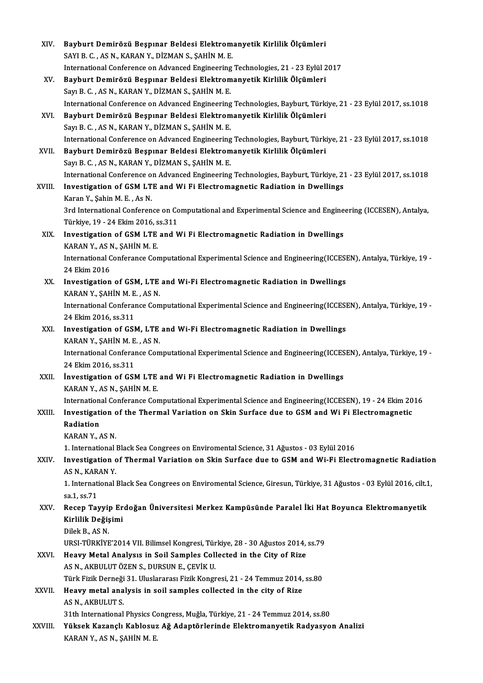| XIV.        | Bayburt Demirözü Beşpınar Beldesi Elektromanyetik Kirlilik Ölçümleri                                               |
|-------------|--------------------------------------------------------------------------------------------------------------------|
|             | SAYI B. C., AS N., KARAN Y., DİZMAN S., ŞAHİN M. E.                                                                |
|             | International Conference on Advanced Engineering Technologies, 21 - 23 Eylül 2017                                  |
| XV.         | Bayburt Demirözü Beşpınar Beldesi Elektromanyetik Kirlilik Ölçümleri                                               |
|             | Sayı B. C., AS N., KARAN Y., DİZMAN S., ŞAHİN M. E.                                                                |
|             | International Conference on Advanced Engineering Technologies, Bayburt, Türkiye, 21 - 23 Eylül 2017, ss 1018       |
| XVI.        | Bayburt Demirözü Beşpınar Beldesi Elektromanyetik Kirlilik Ölçümleri                                               |
|             | Sayı B. C., AS N., KARAN Y., DİZMAN S., ŞAHİN M. E.                                                                |
|             | International Conference on Advanced Engineering Technologies, Bayburt, Türkiye, 21 - 23 Eylül 2017, ss 1018       |
| XVII.       | Bayburt Demirözü Beşpınar Beldesi Elektromanyetik Kirlilik Ölçümleri                                               |
|             | Sayı B. C., AS N., KARAN Y., DİZMAN S., ŞAHİN M. E.                                                                |
|             | International Conference on Advanced Engineering Technologies, Bayburt, Türkiye, 21 - 23 Eylül 2017, ss 1018       |
| XVIII.      | Investigation of GSM LTE and Wi Fi Electromagnetic Radiation in Dwellings                                          |
|             | Karan Y., Şahin M.E., As N.                                                                                        |
|             | 3rd International Conference on Computational and Experimental Science and Engineering (ICCESEN), Antalya,         |
|             | Türkiye, 19 - 24 Ekim 2016, ss 311                                                                                 |
| XIX.        | Investigation of GSM LTE and Wi Fi Electromagnetic Radiation in Dwellings                                          |
|             | KARAN Y., AS N., ŞAHİN M. E.                                                                                       |
|             | International Conferance Computational Experimental Science and Engineering(ICCESEN), Antalya, Türkiye, 19 -       |
|             | 24 Ekim 2016                                                                                                       |
| XX.         | Investigation of GSM, LTE and Wi-Fi Electromagnetic Radiation in Dwellings                                         |
|             | KARAN Y., ŞAHİN M. E., AS N.                                                                                       |
|             | International Conferance Computational Experimental Science and Engineering(ICCESEN), Antalya, Türkiye, 19 -       |
|             | 24 Ekim 2016, ss 311                                                                                               |
| XXI.        | Investigation of GSM, LTE and Wi-Fi Electromagnetic Radiation in Dwellings                                         |
|             | KARAN Y., ŞAHİN M. E., AS N.                                                                                       |
|             | International Conferance Computational Experimental Science and Engineering(ICCESEN), Antalya, Türkiye, 19 -       |
|             | 24 Ekim 2016, ss.311                                                                                               |
| XXII.       | Investigation of GSM LTE and Wi Fi Electromagnetic Radiation in Dwellings                                          |
|             | KARAN Y., AS N., ŞAHİN M. E.                                                                                       |
|             | International Conferance Computational Experimental Science and Engineering(ICCESEN), 19 - 24 Ekim 2016            |
| XXIII.      | Investigation of the Thermal Variation on Skin Surface due to GSM and Wi Fi Electromagnetic                        |
|             | Radiation                                                                                                          |
|             | KARAN Y, AS N.                                                                                                     |
|             | 1. International Black Sea Congrees on Enviromental Science, 31 Ağustos - 03 Eylül 2016                            |
| XXIV.       | Investigation of Thermal Variation on Skin Surface due to GSM and Wi-Fi Electromagnetic Radiation                  |
|             | AS N., KARAN Y.                                                                                                    |
|             | 1. International Black Sea Congrees on Enviromental Science, Giresun, Türkiye, 31 Ağustos - 03 Eylül 2016, cilt.1, |
|             | sa 1, ss 71                                                                                                        |
| XXV.        | Recep Tayyip Erdoğan Üniversitesi Merkez Kampüsünde Paralel İki Hat Boyunca Elektromanyetik                        |
|             | Kirlilik Değişimi                                                                                                  |
|             | Dilek B., AS N.                                                                                                    |
|             | URSI-TÜRKİYE'2014 VII. Bilimsel Kongresi, Türkiye, 28 - 30 Ağustos 2014, ss.79                                     |
| <b>XXVI</b> | Heavy Metal Analysis in Soil Samples Collected in the City of Rize                                                 |
|             | AS N., AKBULUT ÖZEN S., DURSUN E., ÇEVİK U.                                                                        |
|             | Türk Fizik Derneği 31. Uluslararası Fizik Kongresi, 21 - 24 Temmuz 2014, ss.80                                     |
| XXVII.      | Heavy metal analysis in soil samples collected in the city of Rize                                                 |
|             | AS N, AKBULUT S                                                                                                    |
|             | 31th International Physics Congress, Muğla, Türkiye, 21 - 24 Temmuz 2014, ss.80                                    |
| XXVIII.     | Yüksek Kazançlı Kablosuz Ağ Adaptörlerinde Elektromanyetik Radyasyon Analizi                                       |
|             | KARAN Y., AS N., ŞAHİN M. E.                                                                                       |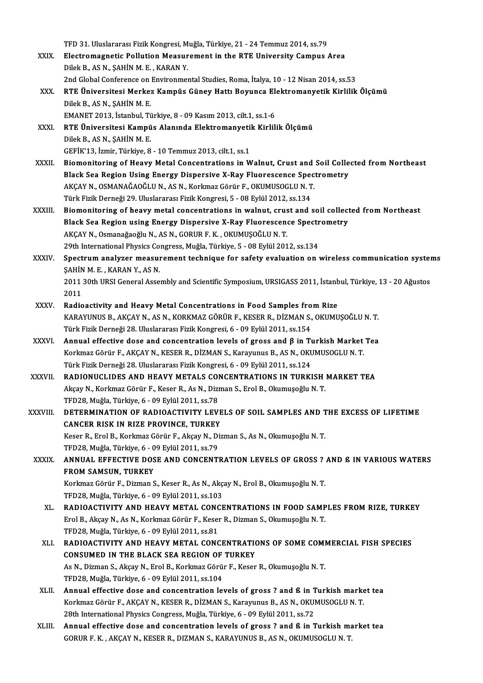TFD 31. Uluslararası Fizik Kongresi, Muğla, Türkiye, 21 - 24 Temmuz 2014, ss.79<br>Flastnomagnetis Pollution Messurement in the PTE University Compus TFD 31. Uluslararası Fizik Kongresi, Muğla, Türkiye, 21 - 24 Temmuz 2014, ss.79<br>XXIX. Electromagnetic Pollution Measurement in the RTE University Campus Area TFD 31. Uluslararası Fizik Kongresi, M<br>Electromagnetic Pollution Measur<br>Dilek B., AS N., ŞAHİN M. E. , KARAN Y.<br>2nd Clabel Cenference on Environmer Electromagnetic Pollution Measurement in the RTE University Campus Area<br>Dilek B., AS N., ŞAHİN M. E. , KARAN Y.<br>2nd Global Conference on Environmental Studies, Roma, İtalya, 10 - 12 Nisan 2014, ss.53<br>BTE Üniversitesi Marke Dilek B., AS N., ŞAHİN M. E. , KARAN Y.<br>2nd Global Conference on Environmental Studies, Roma, İtalya, 10 - 12 Nisan 2014, ss.53<br>XXX. RTE Üniversitesi Merkez Kampüs Güney Hattı Boyunca Elektromanyetik Kirlilik Ölçümü<br>Di 2nd Global Conference on<br>RTE Üniversitesi Merke:<br>Dilek B., AS N., ŞAHİN M. E.<br>EMANET 2012. İstanbul Ti RTE Üniversitesi Merkez Kampüs Güney Hattı Boyunca Ele<br>Dilek B., AS N., ŞAHİN M. E.<br>EMANET 2013, İstanbul, Türkiye, 8 - 09 Kasım 2013, cilt.1, ss.1-6<br>PTE Üniversitesi Kampüs Alapında Elektromanyetik Kirlili Dilek B., AS N., ŞAHİN M. E.<br>EMANET 2013, İstanbul, Türkiye, 8 - 09 Kasım 2013, cilt.1, ss.1-6<br>XXXI. RTE Üniversitesi Kampüs Alanında Elektromanyetik Kirlilik Ölçümü<br>Dilek B., AS N., SAHİN M. E. EMANET 2013, İstanbul, Türkiye, 8 - 09 Kasım 2013, cilt.1, ss.1-6 GEFİK'13, İzmir,Türkiye,8 -10Temmuz2013, cilt.1, ss.1 Dilek B., AS N., ŞAHİN M. E.<br>GEFİK'13, İzmir, Türkiye, 8 - 10 Temmuz 2013, cilt.1, ss.1<br>XXXII. Biomonitoring of Heavy Metal Concentrations in Walnut, Crust and Soil Collected from Northeast<br>Plack See Begian Heing Energy Di GEFİK'13, İzmir, Türkiye, 8 - 10 Temmuz 2013, cilt.1, ss.1<br>Biomonitoring of Heavy Metal Concentrations in Walnut, Crust and Soil Colle<br>Black Sea Region Using Energy Dispersive X-Ray Fluorescence Spectrometry<br>AKGAY N. QSMAN Black Sea Region Using Energy Dispersive X-Ray Fluorescence Spectrometry AKÇAY N., OSMANAĞAOĞLU N., AS N., Korkmaz Görür F., OKUMUSOGLU N. T. Türk Fizik Derneği 29. Uluslararası Fizik Kongresi, 5 - 08 Eylül 2012, ss.134 AKÇAY N., OSMANAĞAOĞLU N., AS N., Korkmaz Görür F., OKUMUSOGLU N. T.<br>Türk Fizik Derneği 29. Uluslararası Fizik Kongresi, 5 - 08 Eylül 2012, ss.134<br>XXXIII. Biomonitoring of heavy metal concentrations in walnut, crust and so Türk Fizik Derneği 29. Uluslararası Fizik Kongresi, 5 - 08 Eylül 2012, ss.134<br>Biomonitoring of heavy metal concentrations in walnut, crust and soil collect<br>Black Sea Region using Energy Dispersive X-Ray Fluorescence Spectr Biomonitoring of heavy metal concentrations in walnut, crus<br>Black Sea Region using Energy Dispersive X-Ray Fluorescene<br>AKÇAY N., Osmanağaoğlu N., AS N., GORUR F. K. , OKUMUŞOĞLU N. T.<br>20th International Physics Congress Mu Black Sea Region using Energy Dispersive X-Ray Fluorescence Spectrometry<br>AKÇAY N., Osmanağaoğlu N., AS N., GORUR F. K. , OKUMUŞOĞLU N. T.<br>29th International Physics Congress, Muğla, Türkiye, 5 - 08 Eylül 2012, ss.134 AKÇAY N., Osmanağaoğlu N., AS N., GORUR F. K. , OKUMUŞOĞLU N. T.<br>29th International Physics Congress, Muğla, Türkiye, 5 - 08 Eylül 2012, ss.134<br>XXXIV. Spectrum analyzer measurement technique for safety evaluation on wi 29th International Physics Co.<br>Spectrum analyzer measur<br>ŞAHİN M. E. , KARAN Y., AS N.<br>2011 20th URSI Ceneral Asse Spectrum analyzer measurement technique for safety evaluation on wireless communication syster<br>ŞAHİN M. E. , KARAN Y., AS N.<br>2011 30th URSI General Assembly and Scientific Symposium, URSIGASS 2011, İstanbul, Türkiye, 13 - ŞAHİN M. E. , KARAN Y., AS N.<br>2011 30th URSI General Assembly and Scientific Symposium, URSIGASS 2011, İstanbul, Türkiye, 13 - 20 Ağustos<br>2011 2011 30th URSI General Assembly and Scientific Symposium, URSIGASS 2011, İstanb<br>2011<br>XXXV. Radioactivity and Heavy Metal Concentrations in Food Samples from Rize<br>2011 VARAYINUS RARCAY NAS NAVORVAZ CÖRÜR E KESER RARANAS OKU 2011<br>Radioactivity and Heavy Metal Concentrations in Food Samples from Rize<br>KARAYUNUS B., AKÇAY N., AS N., KORKMAZ GÖRÜR F., KESER R., DİZMAN S., OKUMUŞOĞLU N. T.<br>Türk Firik Derneği 28. Uluslareres: Firik Kongresi, 6., 00 Radioactivity and Heavy Metal Concentrations in Food Samples fro<br>KARAYUNUS B., AKÇAY N., AS N., KORKMAZ GÖRÜR F., KESER R., DİZMAN S.,<br>Türk Fizik Derneği 28. Uluslararası Fizik Kongresi, 6 - 09 Eylül 2011, ss.154<br>Annual ef KARAYUNUS B., AKÇAY N., AS N., KORKMAZ GÖRÜR F., KESER R., DİZMAN S., OKUMUŞOĞLU N. T.<br>Türk Fizik Derneği 28. Uluslararası Fizik Kongresi, 6 - 09 Eylül 2011, ss.154<br>XXXVI. Annual effective dose and concentration levels of Türk Fizik Derneği 28. Uluslararası Fizik Kongresi, 6 - 09 Eylül 2011, ss.154<br>Annual effective dose and concentration levels of gross and β in Turkish Market<br>Korkmaz Görür F., AKÇAY N., KESER R., DİZMAN S., Karayunus B., Annual effective dose and concentration levels of gross and β in Tu<br>Korkmaz Görür F., AKÇAY N., KESER R., DİZMAN S., Karayunus B., AS N., OKU<br>Türk Fizik Derneği 28. Uluslararası Fizik Kongresi, 6 - 09 Eylül 2011, ss.124<br>B Korkmaz Görür F., AKÇAY N., KESER R., DİZMAN S., Karayunus B., AS N., OKUMUSOGLU N. T.<br>Türk Fizik Derneği 28. Uluslararası Fizik Kongresi, 6 - 09 Eylül 2011, ss.124<br>XXXVII. RADIONUCLIDES AND HEAVY METALS CONCENTRATIONS IN Türk Fizik Derneği 28. Uluslararası Fizik Kongresi, 6 - 09 Eylül 2011, ss.124<br>RADIONUCLIDES AND HEAVY METALS CONCENTRATIONS IN TURKISH<br>Akçay N., Korkmaz Görür F., Keser R., As N., Dizman S., Erol B., Okumuşoğlu N. T.<br>TED28 RADIONUCLIDES AND HEAVY METALS COI<br>Akçay N., Korkmaz Görür F., Keser R., As N., Dizi<br>TFD28, Muğla, Türkiye, 6 - 09 Eylül 2011, ss.78<br>DETERMINATION OF RADIOACTIVITY LEV. Akçay N., Korkmaz Görür F., Keser R., As N., Dizman S., Erol B., Okumuşoğlu N. T.<br>TFD28, Muğla, Türkiye, 6 - 09 Eylül 2011, ss.78<br>XXXVIII. DETERMINATION OF RADIOACTIVITY LEVELS OF SOIL SAMPLES AND THE EXCESS OF LIFETIM TFD28, Muğla, Türkiye, 6 - 09 Eylül 2011, ss.78<br>DETERMINATION OF RADIOACTIVITY LEVE<br>CANCER RISK IN RIZE PROVINCE, TURKEY<br>Keser B. Erel B. Korlmer Görür E. Alsou N. Dis DETERMINATION OF RADIOACTIVITY LEVELS OF SOIL SAMPLES AND T<br>CANCER RISK IN RIZE PROVINCE, TURKEY<br>Keser R., Erol B., Korkmaz Görür F., Akçay N., Dizman S., As N., Okumuşoğlu N. T.<br>TED28. Muğla Türkiye é. - 00 Erlül 2011. 82 CANCER RISK IN RIZE PROVINCE, TURKEY<br>Keser R., Erol B., Korkmaz Görür F., Akçay N., Di<br>TFD28, Muğla, Türkiye, 6 - 09 Eylül 2011, ss.79<br>ANNUAL EEEECTIVE DOSE AND CONCENTI Keser R., Erol B., Korkmaz Görür F., Akçay N., Dizman S., As N., Okumuşoğlu N. T.<br>TFD28, Muğla, Türkiye, 6 - 09 Eylül 2011, ss.79<br>XXXIX. ANNUAL EFFECTIVE DOSE AND CONCENTRATION LEVELS OF GROSS ? AND ß IN VARIOUS WATERS TFD28, Muğla, Türkiye, 6 - 0<br>ANNUAL EFFECTIVE DOS<br>FROM SAMSUN, TURKEY<br>Korkmaz Cörür E. Dizman S ANNUAL EFFECTIVE DOSE AND CONCENTRATION LEVELS OF GROSS ?<br>FROM SAMSUN, TURKEY<br>Korkmaz Görür F., Dizman S., Keser R., As N., Akçay N., Erol B., Okumuşoğlu N. T.<br>TED29. Muğla Türkiye 6., 09 Evlül 2011. 99 102 FROM SAMSUN, TURKEY<br>Korkmaz Görür F., Dizman S., Keser R., As N., Akç<br>TFD28, Muğla, Türkiye, 6 - 09 Eylül 2011, ss.103<br>BADIOACTIVITY AND HEAVY METAL CONCE TFD28, Muğla, Türkiye, 6 - 09 Eylül 2011, ss.103<br>XL. RADIOACTIVITY AND HEAVY METAL CONCENTRATIONS IN FOOD SAMPLES FROM RIZE, TURKEY TFD28, Muğla, Türkiye, 6 - 09 Eylül 2011, ss.103<br>RADIOACTIVITY AND HEAVY METAL CONCENTRATIONS IN FOOD SAMP<br>Erol B., Akçay N., As N., Korkmaz Görür F., Keser R., Dizman S., Okumuşoğlu N. T.<br>TED28, Muğla, Türkiye, 6, ,09 Eyl RADIOACTIVITY AND HEAVY METAL CONC<br>Erol B., Akçay N., As N., Korkmaz Görür F., Kesel<br>TFD28, Muğla, Türkiye, 6 - 09 Eylül 2011, ss.81<br>BADIOACTIVITY AND HEAVY METAL CONC Erol B., Akçay N., As N., Korkmaz Görür F., Keser R., Dizman S., Okumuşoğlu N. T.<br>TFD28, Muğla, Türkiye, 6 - 09 Eylül 2011, ss.81<br>XLI. RADIOACTIVITY AND HEAVY METAL CONCENTRATIONS OF SOME COMMERCIAL FISH SPECIES<br>CONSUMED I TFD28, Muğla, Türkiye, 6 - 09 Eylül 2011, ss.81<br>RADIOACTIVITY AND HEAVY METAL CONCENTRATION<br>CONSUMED IN THE BLACK SEA REGION OF TURKEY RADIOACTIVITY AND HEAVY METAL CONCENTRATIONS OF SOME COMI<br>CONSUMED IN THE BLACK SEA REGION OF TURKEY<br>As N., Dizman S., Akçay N., Erol B., Korkmaz Görür F., Keser R., Okumuşoğlu N. T.<br>TED28, Muğla Türkiye & .09 Evlül 2011. CONSUMED IN THE BLACK SEA REGION OF TURKEY<br>As N., Dizman S., Akçay N., Erol B., Korkmaz Görür F., Keser R., Okumuşoğlu N. T.<br>TFD28, Muğla, Türkiye, 6 - 09 Eylül 2011, ss.104 XLII. Annual effective dose and concentration levels of gross ? and ß in Turkish market tea TFD28, Muğla, Türkiye, 6 - 09 Eylül 2011, ss.104<br>Annual effective dose and concentration levels of gross ? and ß in Turkish marke<br>Korkmaz Görür F., AKÇAY N., KESER R., DİZMAN S., Karayunus B., AS N., OKUMUSOGLU N. T.<br>28th Annual effective dose and concentration levels of gross ? and ß in T<br>Korkmaz Görür F., AKÇAY N., KESER R., DİZMAN S., Karayunus B., AS N., OKUI<br>28th International Physics Congress, Muğla, Türkiye, 6 - 09 Eylül 2011, ss.72<br> Korkmaz Görür F., AKÇAY N., KESER R., DİZMAN S., Karayunus B., AS N., OKUMUSOGLU N. T.<br>28th International Physics Congress, Muğla, Türkiye, 6 - 09 Eylül 2011, ss.72<br>XLIII. Annual effective dose and concentration levels of 28th International Physics Congress, Muğla, Türkiye, 6 - 09 Eylül 2011, ss.72<br>Annual effective dose and concentration levels of gross ? and ß in Turkish market tea<br>GORUR F. K. , AKÇAY N., KESER R., DIZMAN S., KARAYUNUS B.,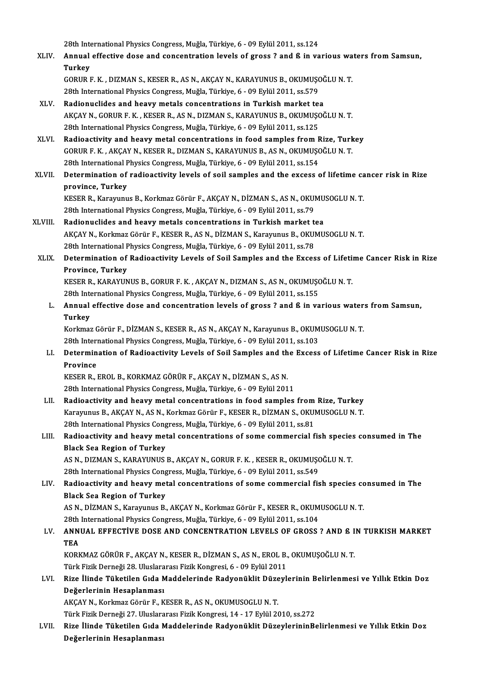28th International Physics Congress, Muğla, Türkiye, 6 - 09 Eylül 2011, ss.124<br>Annual effective does and sonsentration levels of gross 3 and 6 in va

XLIV. Annual effective dose and concentration levels of gross ? and ß in various waters fromSamsun, 28th Inte<br>**Annual**<br>Turkey<br>COPUP I Annual effective dose and concentration levels of gross ? and ß in various wa<br>Turkey<br>GORUR F. K. , DIZMAN S., KESER R., AS N., AKÇAY N., KARAYUNUS B., OKUMUŞOĞLU N. T.<br>28th International Physics Congress Mužle Türkiye & .0 Turkey<br>GORUR F. K. , DIZMAN S., KESER R., AS N., AKÇAY N., KARAYUNUS B., OKUMUŞ(<br>28th International Physics Congress, Muğla, Türkiye, 6 - 09 Eylül 2011, ss.579<br>Badionuclides and beauu metals consentrations in Turkish marke

- 28th International Physics Congress, Muğla, Türkiye, 6 09 Eylül 2011, ss.579<br>XLV. Radionuclides and heavy metals concentrations in Turkish market tea 28th International Physics Congress, Muğla, Türkiye, 6 - 09 Eylül 2011, ss.579<br>Radionuclides and heavy metals concentrations in Turkish market tea<br>AKÇAY N., GORUR F. K. , KESER R., AS N., DIZMAN S., KARAYUNUS B., OKUMUŞOĞL Radionuclides and heavy metals concentrations in Turkish market te:<br>AKÇAY N., GORUR F. K. , KESER R., AS N., DIZMAN S., KARAYUNUS B., OKUMUŞ(<br>28th International Physics Congress, Muğla, Türkiye, 6 - 09 Eylül 2011, ss.125<br>P AKÇAY N., GORUR F. K., KESER R., AS N., DIZMAN S., KARAYUNUS B., OKUMUŞOĞLU N. T.<br>28th International Physics Congress, Muğla, Türkiye, 6 - 09 Eylül 2011, ss.125<br>XLVI. Radioactivity and heavy metal concentrations in food sa
- 28th International Physics Congress, Muğla, Türkiye, 6 09 Eylül 2011, ss.125<br>Radioactivity and heavy metal concentrations in food samples from Rize, Turk<br>GORUR F. K. , AKÇAY N., KESER R., DIZMAN S., KARAYUNUS B., AS N., Radioactivity and heavy metal concentrations in food samples from F<br>GORUR F. K. , AKÇAY N., KESER R., DIZMAN S., KARAYUNUS B., AS N., OKUMUŞO<br>28th International Physics Congress, Muğla, Türkiye, 6 - 09 Eylül 2011, ss.154<br>D 28th International Physics Congress, Muğla, Türkiye, 6 - 09 Eylül 2011, ss.154
- XLVII. Determination of radioactivity levels of soil samples and the excess of lifetime cancer risk in Rize<br>province, Turkey Determination of radioactivity levels of soil samples and the excess of lifetime ca<br>province, Turkey<br>KESER R., Karayunus B., Korkmaz Görür F., AKÇAY N., DİZMAN S., AS N., OKUMUSOGLU N. T.<br>28th International Physics Congres

```
province, Turkey<br>KESER R., Karayunus B., Korkmaz Görür F., AKÇAY N., DİZMAN S., AS N., OKUI<br>28th International Physics Congress, Muğla, Türkiye, 6 - 09 Eylül 2011, ss.79<br>Radionualides and beauu matals consentratione in Tur
```
- KESER R., Karayunus B., Korkmaz Görür F., AKÇAY N., DİZMAN S., AS N., OKUMU<br>28th International Physics Congress, Muğla, Türkiye, 6 09 Eylül 2011, ss.79<br>XLVIII. Radionuclides and heavy metals concentrations in Turkish mar 28th International Physics Congress, Muğla, Türkiye, 6 - 09 Eylül 2011, ss.79<br>Radionuclides and heavy metals concentrations in Turkish market tea<br>AKÇAY N., Korkmaz Görür F., KESER R., AS N., DİZMAN S., Karayunus B., OKUMUS Radionuclides and heavy metals concentrations in Turkish market tea AKÇAY N., Korkmaz Görür F., KESER R., AS N., DİZMAN S., Karayunus B., OKUMUSOGLU N. T.<br>28th International Physics Congress, Muğla, Türkiye, 6 - 09 Eylül 2011, ss.78<br>XLIX. Determination of Radioactivity Levels of Soil S
	- 28th International F<br>Determination of<br>Province, Turkey<br>EEEEE E KARAVIN Determination of Radioactivity Levels of Soil Samples and the Excess of Lifeti:<br>Province, Turkey<br>KESER R., KARAYUNUS B., GORUR F. K. , AKÇAY N., DIZMAN S., AS N., OKUMUŞOĞLU N. T.<br>29th International Physics Congress Muğla

Province, Turkey<br>KESER R., KARAYUNUS B., GORUR F. K. , AKÇAY N., DIZMAN S., AS N., OKUMUŞOĞLU N. T.<br>28th International Physics Congress, Muğla, Türkiye, 6 - 09 Eylül 2011, ss.155

KESER R., KARAYUNUS B., GORUR F. K. , AKÇAY N., DIZMAN S., AS N., OKUMUŞOĞLU N. T.<br>28th International Physics Congress, Muğla, Türkiye, 6 - 09 Eylül 2011, ss.155<br>L. Annual effective dose and concentration levels of gross ? 28th Inte<br>Annual<br>Turkey<br><sup>Korlmor</sup> Annual effective dose and concentration levels of gross ? and ß in various water<br>Turkey<br>Korkmaz Görür F., DİZMAN S., KESER R., AS N., AKÇAY N., Karayunus B., OKUMUSOGLU N. T.<br>29th International Physics Congress Mužle Türki Turkey<br>Korkmaz Görür F., DİZMAN S., KESER R., AS N., AKÇAY N., Karayunus B., OKUMUSOGLU N. T.

28th International Physics Congress, Muğla, Türkiye, 6 - 09 Eylül 2011, ss.103

LI. Determination of Radioactivity Levels of Soil Samples and the Excess of Lifetime Cancer Risk in Rize Determination of Radioactivity Levels of Soil Samples and th<br>Province<br>KESER R., EROL B., KORKMAZ GÖRÜR F., AKÇAY N., DİZMAN S., AS N.<br>29th International Physics Congress, Muğla, Türkiye 6, .09 Eylül 201

Province<br>KESER R., EROL B., KORKMAZ GÖRÜR F., AKÇAY N., DİZMAN S., AS N.<br>28th International Physics Congress, Muğla, Türkiye, 6 - 09 Eylül 2011<br>Padioastivity and beauy matal sansantrations in food samples

28th International Physics Congress, Muğla, Türkiye, 6 - 09 Eylül 2011<br>LII. Radioactivity and heavy metal concentrations in food samples from Rize, Turkey 28th International Physics Congress, Muğla, Türkiye, 6 - 09 Eylül 2011<br>Radioactivity and heavy metal concentrations in food samples from Rize, Turkey<br>Karayunus B., AKÇAY N., AS N., Korkmaz Görür F., KESER R., DİZMAN S., OK Radioactivity and heavy metal concentrations in food samples from<br>Karayunus B., AKÇAY N., AS N., Korkmaz Görür F., KESER R., DİZMAN S., OKUI<br>28th International Physics Congress, Muğla, Türkiye, 6 - 09 Eylül 2011, ss.81<br>Bad Karayunus B., AKÇAY N., AS N., Korkmaz Görür F., KESER R., DİZMAN S., OKUMUSOGLU N. T.<br>28th International Physics Congress, Muğla, Türkiye, 6 - 09 Eylül 2011, ss.81<br>LIII. Radioactivity and heavy metal concentrations of

# 28th International Physics Congress, Muğla, Türkiye, 6 - 09 Eylül 2011, ss.81<br>Radioactivity and heavy metal concentrations of some commercial f<br>Black Sea Region of Turkey Radioactivity and heavy metal concentrations of some commercial fish specie:<br>Black Sea Region of Turkey<br>AS N., DIZMAN S., KARAYUNUS B., AKÇAY N., GORUR F. K. , KESER R., OKUMUŞOĞLU N. T.<br>20th International Physics Congress

AS N., DIZMAN S., KARAYUNUS B., AKÇAY N., GORUR F. K. , KESER R., OKUMUŞOĞLU N. T.<br>28th International Physics Congress, Muğla, Türkiye, 6 - 09 Eylül 2011, ss.549

AS N., DIZMAN S., KARAYUNUS B., AKÇAY N., GORUR F. K. , KESER R., OKUMUŞOĞLU N. T.<br>28th International Physics Congress, Muğla, Türkiye, 6 - 09 Eylül 2011, ss.549<br>LIV. Radioactivity and heavy metal concentrations of som 28th International Physics Cong<br>Radioactivity and heavy met<br>Black Sea Region of Turkey<br>AS N. DIZMAN S. Karaminus P Radioactivity and heavy metal concentrations of some commercial fish species contracts of the Sea Region of Turkey<br>AS N., DİZMAN S., Karayunus B., AKÇAY N., Korkmaz Görür F., KESER R., OKUMUSOGLU N. T.<br>29th International P

Black Sea Region of Turkey<br>AS N., DİZMAN S., Karayunus B., AKÇAY N., Korkmaz Görür F., KESER R., OKUM<br>28th International Physics Congress, Muğla, Türkiye, 6 - 09 Eylül 2011, ss.104<br>ANNUAL EEEECTİVE DOSE AND CONCENTRATION L

## AS N., DİZMAN S., Karayunus B., AKÇAY N., Korkmaz Görür F., KESER R., OKUMUSOGLU N. T.<br>28th International Physics Congress, Muğla, Türkiye, 6 - 09 Eylül 2011, ss.104<br>LV. ANNUAL EFFECTİVE DOSE AND CONCENTRATION LEVELS O 28th<br>ANN<br>TEA<br>KORK ANNUAL EFFECTİVE DOSE AND CONCENTRATION LEVELS OF GROSS ? AND ß I<br>TEA<br>KORKMAZ GÖRÜR F., AKÇAY N., KESER R., DİZMAN S., AS N., EROL B., OKUMUŞOĞLU N. T.<br>Türk Eirik Derneği 28, Huslananesı Firik Kongresi 6, . 00 Eylül 2011 TEA<br>KORKMAZ GÖRÜR F., AKCAY N., KESER R., DİZMAN S., AS N., EROL B., OKUMUŞOĞLU N. T.

Türk Fizik Derneği 28. Uluslararası Fizik Kongresi, 6 - 09 Eylül 2011

# LVI. Rize İlinde Tüketilen Gıda Maddelerinde Radyonüklit Düzeylerinin Belirlenmesi ve Yıllık Etkin Doz<br>Değerlerinin Hesaplanması Rize İlinde Tüketilen Gıda Maddelerinde Radyonüklit Düze<br>Değerlerinin Hesaplanması<br>AKÇAY N., Korkmaz Görür F., KESER R., AS N., OKUMUSOGLU N. T.<br>Türk Firik Derneği 27, Uluslanaresı Firik Kongresi 14, 17 Fukil 20 De<mark>ğerlerinin Hesaplanması</mark><br>AKÇAY N., Korkmaz Görür F., KESER R., AS N., OKUMUSOGLU N. T.<br>Türk Fizik Derneği 27. Uluslararası Fizik Kongresi, 14 - 17 Eylül 2010, ss.272<br>Bine İlinde Tüketilen Cıda Maddelerinde Bedyenüldit D

AKÇAY N., Korkmaz Görür F., KESER R., AS N., OKUMUSOGLU N. T.<br>Türk Fizik Derneği 27. Uluslararası Fizik Kongresi, 14 - 17 Eylül 2010, ss.272<br>LVII. Rize İlinde Tüketilen Gıda Maddelerinde Radyonüklit DüzeylerininBelirle Türk Fizik Derneği 27. Uluslara<br>Rize İlinde <mark>Tüketilen Gıda I</mark><br>Değerlerinin Hesaplanması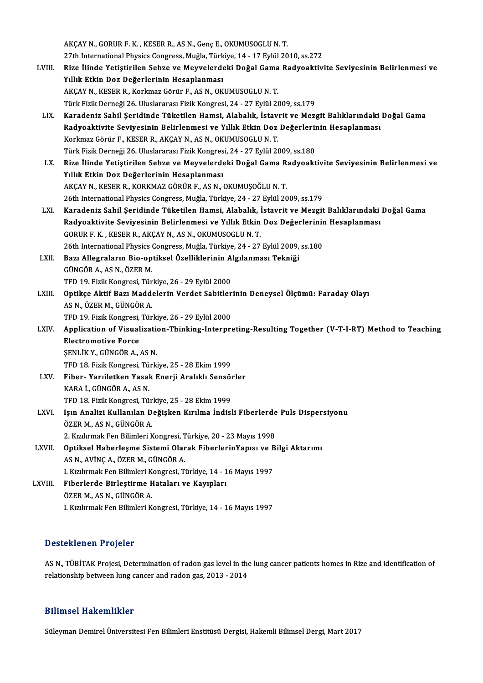|         | AKÇAY N., GORUR F. K., KESER R., AS N., Genç E., OKUMUSOGLU N. T.                                                 |
|---------|-------------------------------------------------------------------------------------------------------------------|
|         | 27th International Physics Congress, Muğla, Türkiye, 14 - 17 Eylül 2010, ss.272                                   |
| LVIII.  | Rize İlinde Yetiştirilen Sebze ve Meyvelerdeki Doğal Gama Radyoaktivite Seviyesinin Belirlenmesi ve               |
|         | Yıllık Etkin Doz Değerlerinin Hesaplanması                                                                        |
|         | AKÇAY N., KESER R., Korkmaz Görür F., AS N., OKUMUSOGLU N. T.                                                     |
|         | Türk Fizik Derneği 26. Uluslararası Fizik Kongresi, 24 - 27 Eylül 2009, ss.179                                    |
| LIX.    | Karadeniz Sahil Şeridinde Tüketilen Hamsi, Alabalık, İstavrit ve Mezgit Balıklarındaki Doğal Gama                 |
|         | Radyoaktivite Seviyesinin Belirlenmesi ve Yıllık Etkin Doz Değerlerinin Hesaplanması                              |
|         | Korkmaz Görür F., KESER R., AKÇAY N., AS N., OKUMUSOGLU N. T.                                                     |
|         | Türk Fizik Derneği 26. Uluslararası Fizik Kongresi, 24 - 27 Eylül 2009, ss.180                                    |
| LX.     | Rize İlinde Yetiştirilen Sebze ve Meyvelerdeki Doğal Gama Radyoaktivite Seviyesinin Belirlenmesi ve               |
|         | Yıllık Etkin Doz Değerlerinin Hesaplanması                                                                        |
|         | AKÇAY N., KESER R., KORKMAZ GÖRÜR F., AS N., OKUMUŞOĞLU N. T.                                                     |
|         | 26th International Physics Congress, Muğla, Türkiye, 24 - 27 Eylül 2009, ss.179                                   |
| LXI.    | Karadeniz Sahil Şeridinde Tüketilen Hamsi, Alabalık, İstavrit ve Mezgit Balıklarındaki Doğal Gama                 |
|         | Radyoaktivite Seviyesinin Belirlenmesi ve Yıllık Etkin Doz Değerlerinin Hesaplanması                              |
|         | GORUR F. K., KESER R., AKÇAY N., AS N., OKUMUSOGLU N. T.                                                          |
|         | 26th International Physics Congress, Muğla, Türkiye, 24 - 27 Eylül 2009, ss.180                                   |
| LXII.   | Bazı Allegraların Bio-optiksel Özelliklerinin Algılanması Tekniği                                                 |
|         | GÜNGÖR A., AS N., ÖZER M.                                                                                         |
|         | TFD 19. Fizik Kongresi, Türkiye, 26 - 29 Eylül 2000                                                               |
| LXIII.  | Optikçe Aktif Bazı Maddelerin Verdet Sabitlerinin Deneysel Ölçümü: Faraday Olayı                                  |
|         | AS N., ÖZER M., GÜNGÖR A.                                                                                         |
|         | TFD 19. Fizik Kongresi, Türkiye, 26 - 29 Eylül 2000                                                               |
| LXIV.   | Application of Visualization-Thinking-Interpreting-Resulting Together (V-T-I-RT) Method to Teaching               |
|         | <b>Electromotive Force</b>                                                                                        |
|         | ŞENLİK Y., GÜNGÖR A., AS N.                                                                                       |
|         | TFD 18. Fizik Kongresi, Türkiye, 25 - 28 Ekim 1999                                                                |
| LXV —   | Fiber- Yarıiletken Yasak Enerji Aralıklı Sensörler                                                                |
|         | KARA İ., GÜNGÖR A., AS N.                                                                                         |
|         | TFD 18. Fizik Kongresi, Türkiye, 25 - 28 Ekim 1999                                                                |
| LXVI.   | Işın Analizi Kullanılan Değişken Kırılma İndisli Fiberlerde Puls Dispersiyonu                                     |
|         | ÖZER M., AS N., GÜNGÖR A.                                                                                         |
|         | 2. Kızılırmak Fen Bilimleri Kongresi, Türkiye, 20 - 23 Mayıs 1998                                                 |
| LXVII.  | Optiksel Haberleşme Sistemi Olarak Fiberlerin Yapısı ve Bilgi Aktarımı<br>AS N., AVİNÇ A., ÖZER M., GÜNGÖR A.     |
|         |                                                                                                                   |
| LXVIII. | I. Kızılırmak Fen Bilimleri Kongresi, Türkiye, 14 - 16 Mayıs 1997<br>Fiberlerde Birleştirme Hataları ve Kayıpları |
|         | ÖZER M., AS N., GÜNGÖR A.                                                                                         |
|         | I. Kızılırmak Fen Bilimleri Kongresi, Türkiye, 14 - 16 Mayıs 1997                                                 |
|         |                                                                                                                   |

### Desteklenen Projeler

Desteklenen Projeler<br>AS N., TÜBİTAK Projesi, Determination of radon gas level in the lung cancer patients homes in Rize and identification of<br>relationship between lung sansar and redon gas. 2012 - 2014 D ODCONNOTH IT POJOTOT<br>AS N., TÜBİTAK Projesi, Determination of radon gas level in the<br>relationship between lung cancer and radon gas, 2013 - 2014 relationship between lung cancer and radon gas, 2013 - 2014<br>Bilimsel Hakemlikler

Süleyman Demirel Üniversitesi Fen Bilimleri Enstitüsü Dergisi, Hakemli Bilimsel Dergi, Mart 2017